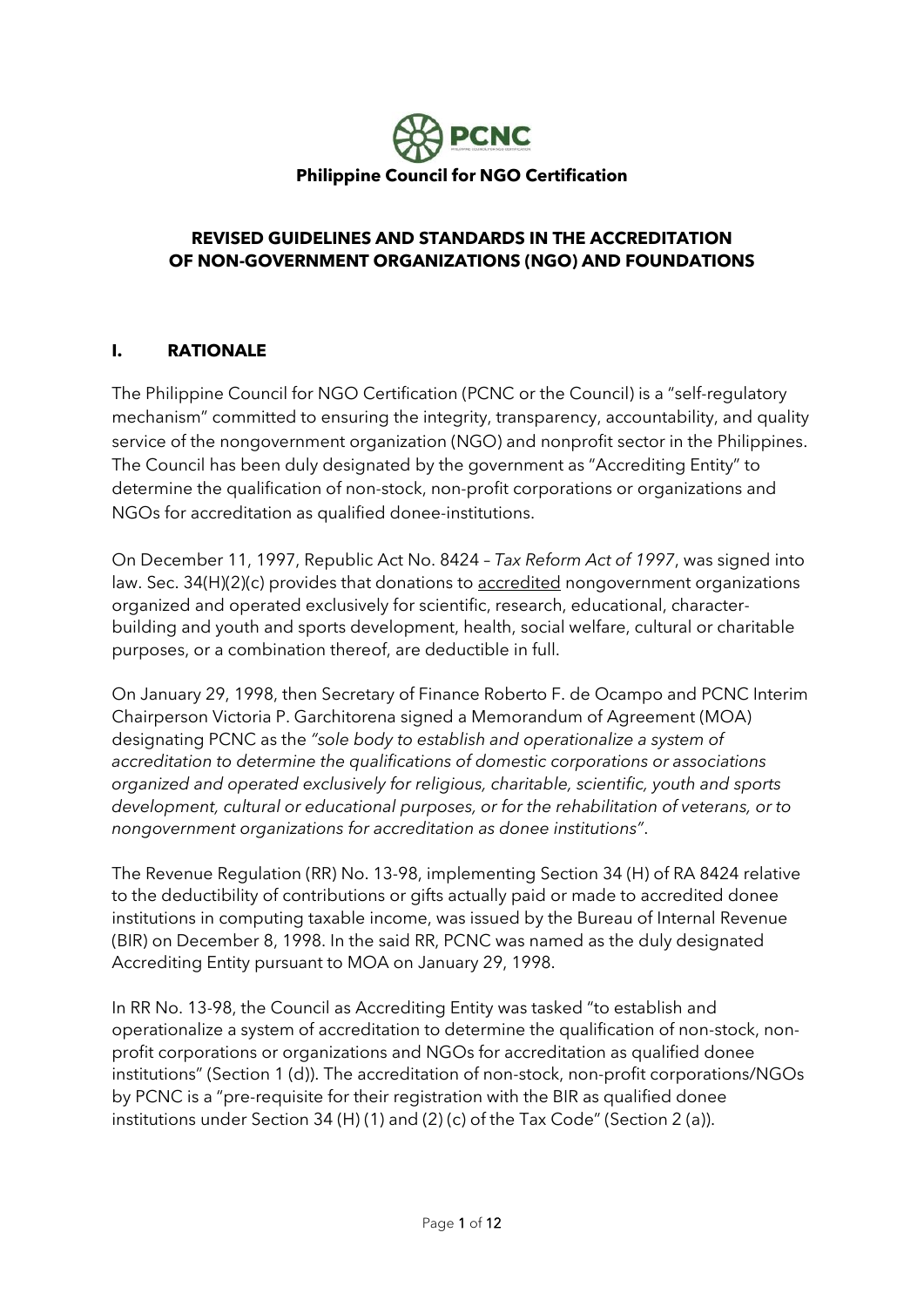

### **REVISED GUIDELINES AND STANDARDS IN THE ACCREDITATION OF NON-GOVERNMENT ORGANIZATIONS (NGO) AND FOUNDATIONS**

### **I. RATIONALE**

The Philippine Council for NGO Certification (PCNC or the Council) is a "self-regulatory mechanism" committed to ensuring the integrity, transparency, accountability, and quality service of the nongovernment organization (NGO) and nonprofit sector in the Philippines. The Council has been duly designated by the government as "Accrediting Entity" to determine the qualification of non-stock, non-profit corporations or organizations and NGOs for accreditation as qualified donee-institutions.

On December 11, 1997, Republic Act No. 8424 – *Tax Reform Act of 1997*, was signed into law. Sec. 34(H)(2)(c) provides that donations to **accredited** nongovernment organizations organized and operated exclusively for scientific, research, educational, characterbuilding and youth and sports development, health, social welfare, cultural or charitable purposes, or a combination thereof, are deductible in full.

On January 29, 1998, then Secretary of Finance Roberto F. de Ocampo and PCNC Interim Chairperson Victoria P. Garchitorena signed a Memorandum of Agreement (MOA) designating PCNC as the *"sole body to establish and operationalize a system of accreditation to determine the qualifications of domestic corporations or associations organized and operated exclusively for religious, charitable, scientific, youth and sports development, cultural or educational purposes, or for the rehabilitation of veterans, or to nongovernment organizations for accreditation as donee institutions"*.

The Revenue Regulation (RR) No. 13-98, implementing Section 34 (H) of RA 8424 relative to the deductibility of contributions or gifts actually paid or made to accredited donee institutions in computing taxable income, was issued by the Bureau of Internal Revenue (BIR) on December 8, 1998. In the said RR, PCNC was named as the duly designated Accrediting Entity pursuant to MOA on January 29, 1998.

In RR No. 13-98, the Council as Accrediting Entity was tasked "to establish and operationalize a system of accreditation to determine the qualification of non-stock, nonprofit corporations or organizations and NGOs for accreditation as qualified donee institutions" (Section 1 (d)). The accreditation of non-stock, non-profit corporations/NGOs by PCNC is a "pre-requisite for their registration with the BIR as qualified donee institutions under Section 34 (H) (1) and (2) (c) of the Tax Code" (Section 2 (a)).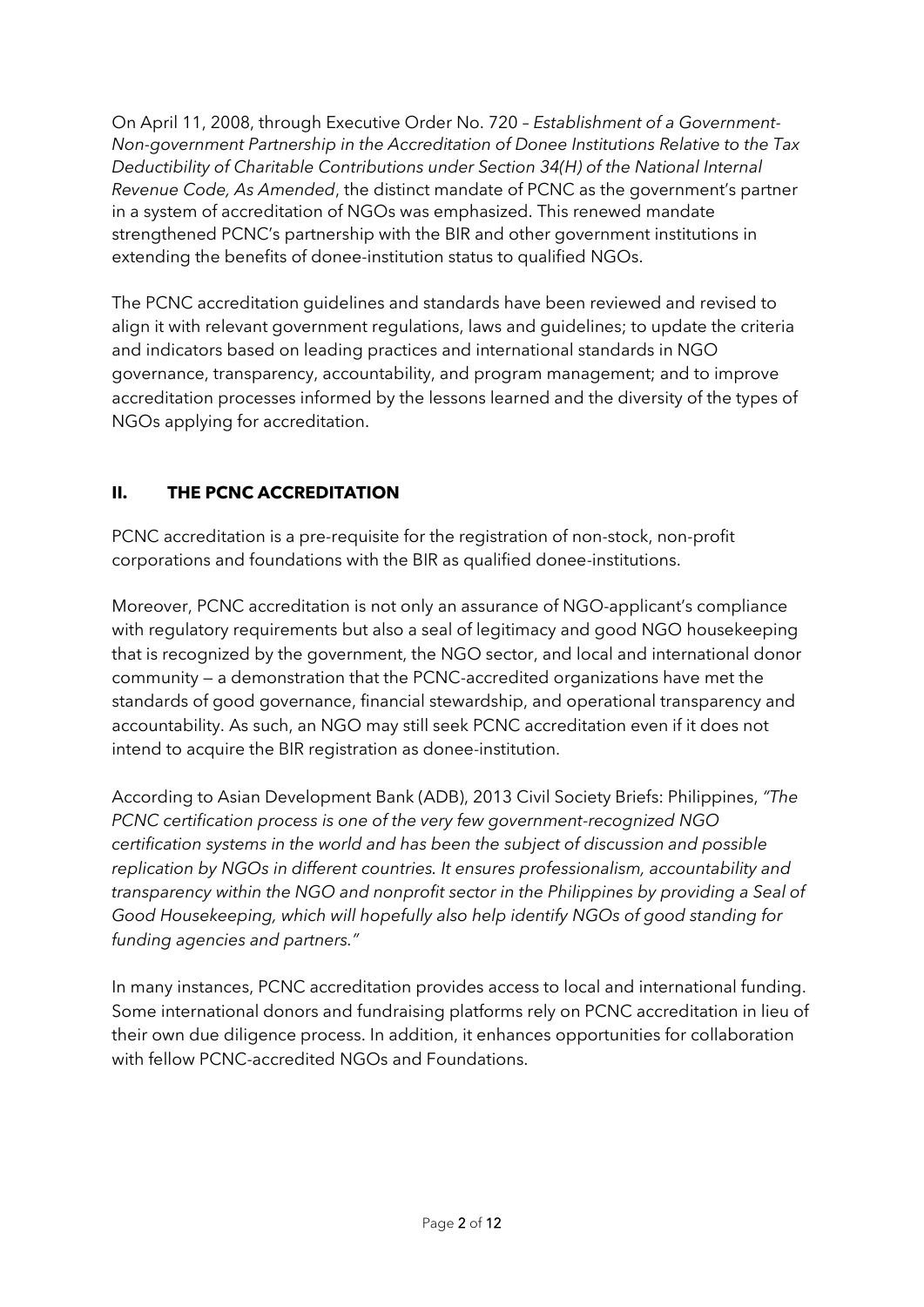On April 11, 2008, through Executive Order No. 720 – *Establishment of a Government-Non-government Partnership in the Accreditation of Donee Institutions Relative to the Tax Deductibility of Charitable Contributions under Section 34(H) of the National Internal Revenue Code, As Amended*, the distinct mandate of PCNC as the government's partner in a system of accreditation of NGOs was emphasized. This renewed mandate strengthened PCNC's partnership with the BIR and other government institutions in extending the benefits of donee-institution status to qualified NGOs.

The PCNC accreditation guidelines and standards have been reviewed and revised to align it with relevant government regulations, laws and guidelines; to update the criteria and indicators based on leading practices and international standards in NGO governance, transparency, accountability, and program management; and to improve accreditation processes informed by the lessons learned and the diversity of the types of NGOs applying for accreditation.

# **II. THE PCNC ACCREDITATION**

PCNC accreditation is a pre-requisite for the registration of non-stock, non-profit corporations and foundations with the BIR as qualified donee-institutions.

Moreover, PCNC accreditation is not only an assurance of NGO-applicant's compliance with regulatory requirements but also a seal of legitimacy and good NGO housekeeping that is recognized by the government, the NGO sector, and local and international donor community — a demonstration that the PCNC-accredited organizations have met the standards of good governance, financial stewardship, and operational transparency and accountability. As such, an NGO may still seek PCNC accreditation even if it does not intend to acquire the BIR registration as donee-institution.

According to Asian Development Bank (ADB), 2013 Civil Society Briefs: Philippines, *"The PCNC certification process is one of the very few government-recognized NGO certification systems in the world and has been the subject of discussion and possible replication by NGOs in different countries. It ensures professionalism, accountability and transparency within the NGO and nonprofit sector in the Philippines by providing a Seal of Good Housekeeping, which will hopefully also help identify NGOs of good standing for funding agencies and partners."*

In many instances, PCNC accreditation provides access to local and international funding. Some international donors and fundraising platforms rely on PCNC accreditation in lieu of their own due diligence process. In addition, it enhances opportunities for collaboration with fellow PCNC-accredited NGOs and Foundations.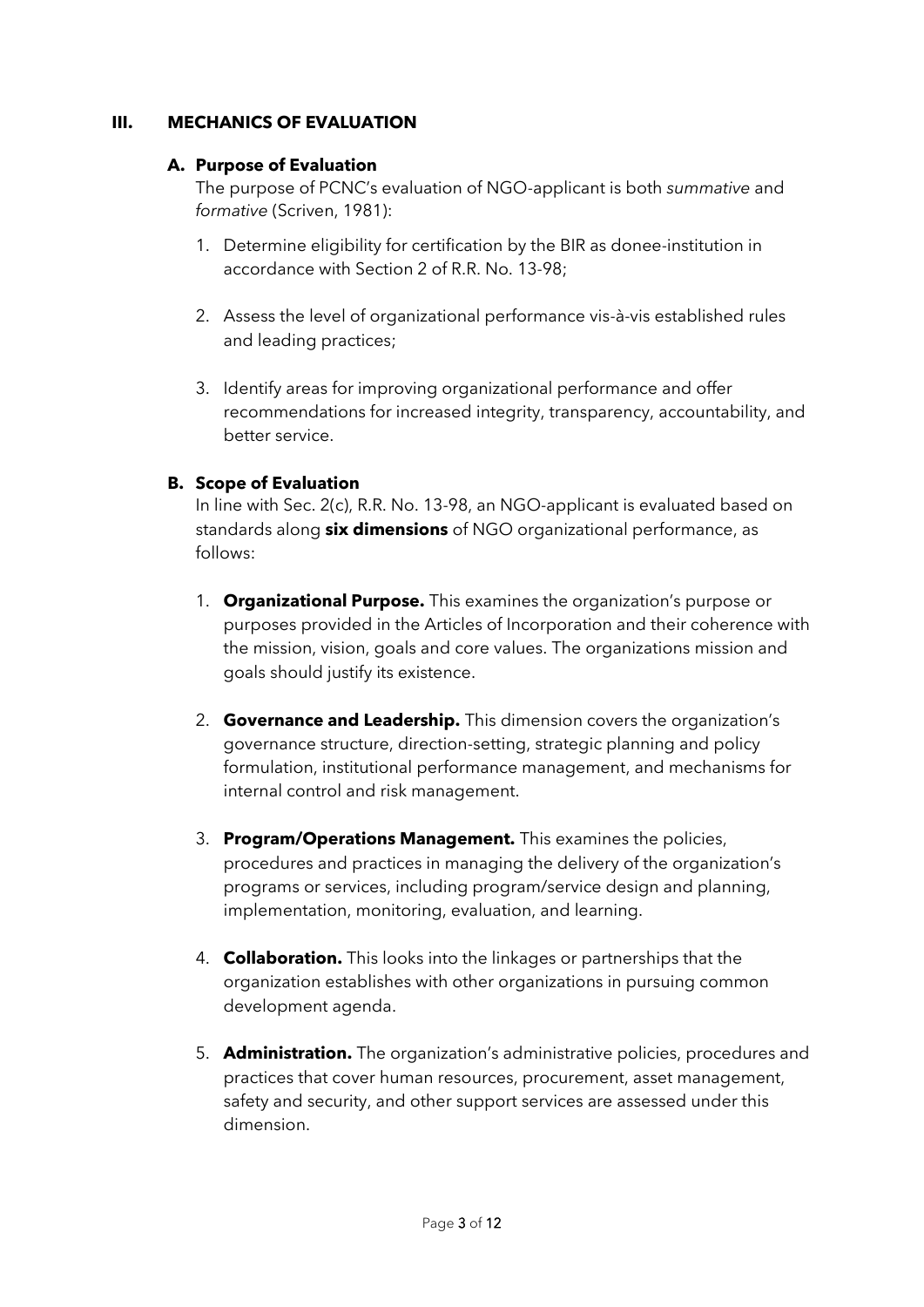#### **III. MECHANICS OF EVALUATION**

#### **A. Purpose of Evaluation**

The purpose of PCNC's evaluation of NGO-applicant is both *summative* and *formative* (Scriven, 1981):

- 1. Determine eligibility for certification by the BIR as donee-institution in accordance with Section 2 of R.R. No. 13-98;
- 2. Assess the level of organizational performance vis-à-vis established rules and leading practices;
- 3. Identify areas for improving organizational performance and offer recommendations for increased integrity, transparency, accountability, and better service.

#### **B. Scope of Evaluation**

In line with Sec. 2(c), R.R. No. 13-98, an NGO-applicant is evaluated based on standards along **six dimensions** of NGO organizational performance, as follows:

- 1. **Organizational Purpose.** This examines the organization's purpose or purposes provided in the Articles of Incorporation and their coherence with the mission, vision, goals and core values. The organizations mission and goals should justify its existence.
- 2. **Governance and Leadership.** This dimension covers the organization's governance structure, direction-setting, strategic planning and policy formulation, institutional performance management, and mechanisms for internal control and risk management.
- 3. **Program/Operations Management.** This examines the policies, procedures and practices in managing the delivery of the organization's programs or services, including program/service design and planning, implementation, monitoring, evaluation, and learning.
- 4. **Collaboration.** This looks into the linkages or partnerships that the organization establishes with other organizations in pursuing common development agenda.
- 5. **Administration.** The organization's administrative policies, procedures and practices that cover human resources, procurement, asset management, safety and security, and other support services are assessed under this dimension.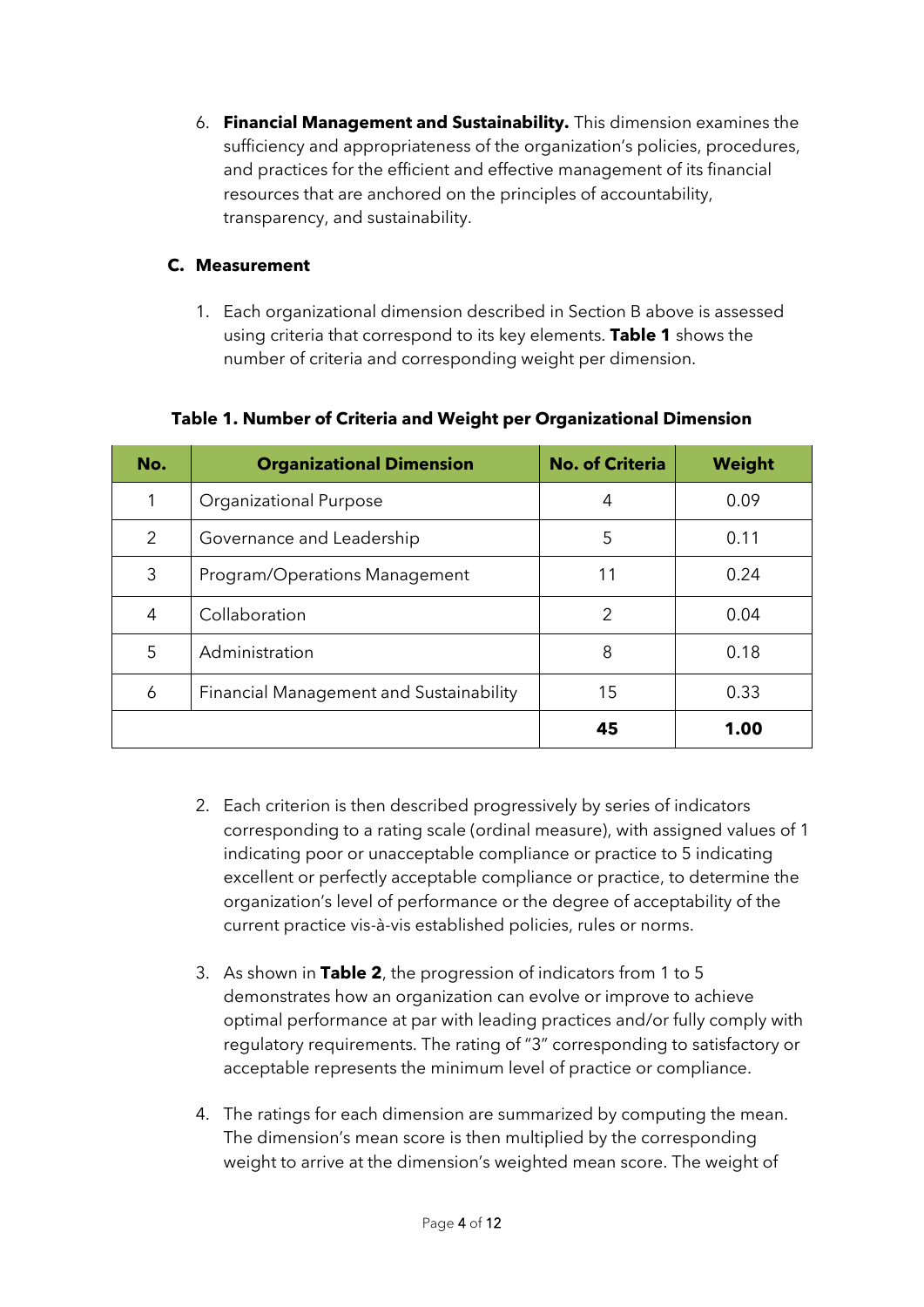6. **Financial Management and Sustainability.** This dimension examines the sufficiency and appropriateness of the organization's policies, procedures, and practices for the efficient and effective management of its financial resources that are anchored on the principles of accountability, transparency, and sustainability.

### **C. Measurement**

1. Each organizational dimension described in Section B above is assessed using criteria that correspond to its key elements. **Table 1** shows the number of criteria and corresponding weight per dimension.

| No. | <b>Organizational Dimension</b>         | <b>No. of Criteria</b> | Weight |
|-----|-----------------------------------------|------------------------|--------|
|     | <b>Organizational Purpose</b>           | 4                      | 0.09   |
| 2   | Governance and Leadership               | 5                      | 0.11   |
| 3   | Program/Operations Management           | 11                     | 0.24   |
| 4   | Collaboration                           | $\mathcal{P}$          | 0.04   |
| 5   | Administration                          | 8                      | 0.18   |
| 6   | Financial Management and Sustainability | 15                     | 0.33   |
|     |                                         | 45                     | 1.00   |

### **Table 1. Number of Criteria and Weight per Organizational Dimension**

- 2. Each criterion is then described progressively by series of indicators corresponding to a rating scale (ordinal measure), with assigned values of 1 indicating poor or unacceptable compliance or practice to 5 indicating excellent or perfectly acceptable compliance or practice, to determine the organization's level of performance or the degree of acceptability of the current practice vis-à-vis established policies, rules or norms.
- 3. As shown in **Table 2**, the progression of indicators from 1 to 5 demonstrates how an organization can evolve or improve to achieve optimal performance at par with leading practices and/or fully comply with regulatory requirements. The rating of "3" corresponding to satisfactory or acceptable represents the minimum level of practice or compliance.
- 4. The ratings for each dimension are summarized by computing the mean. The dimension's mean score is then multiplied by the corresponding weight to arrive at the dimension's weighted mean score. The weight of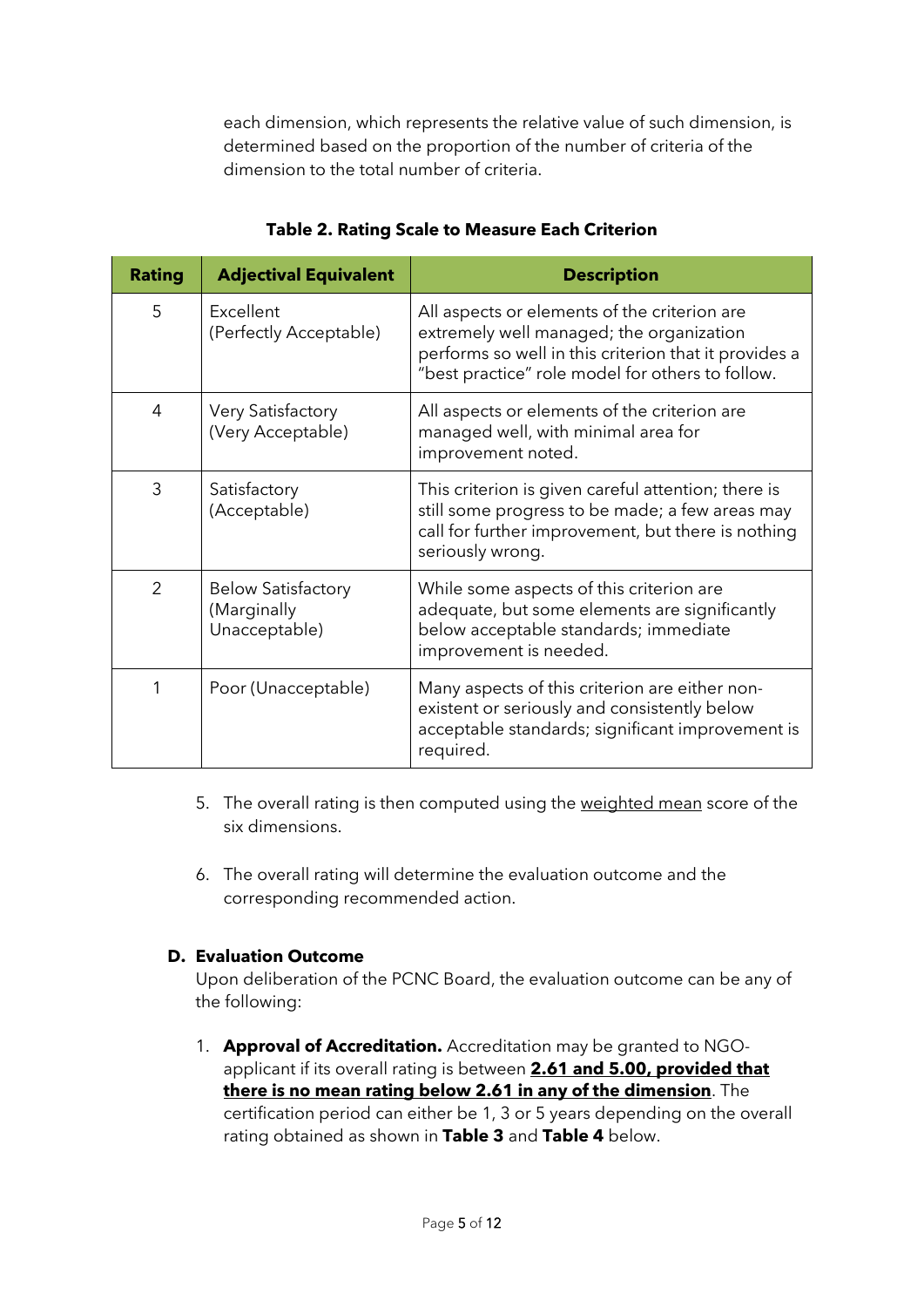each dimension, which represents the relative value of such dimension, is determined based on the proportion of the number of criteria of the dimension to the total number of criteria.

| <b>Rating</b>  | <b>Adjectival Equivalent</b>                              | <b>Description</b>                                                                                                                                                                                    |
|----------------|-----------------------------------------------------------|-------------------------------------------------------------------------------------------------------------------------------------------------------------------------------------------------------|
| 5              | Excellent<br>(Perfectly Acceptable)                       | All aspects or elements of the criterion are<br>extremely well managed; the organization<br>performs so well in this criterion that it provides a<br>"best practice" role model for others to follow. |
| 4              | <b>Very Satisfactory</b><br>(Very Acceptable)             | All aspects or elements of the criterion are<br>managed well, with minimal area for<br>improvement noted.                                                                                             |
| 3              | Satisfactory<br>(Acceptable)                              | This criterion is given careful attention; there is<br>still some progress to be made; a few areas may<br>call for further improvement, but there is nothing<br>seriously wrong.                      |
| $\overline{2}$ | <b>Below Satisfactory</b><br>(Marginally<br>Unacceptable) | While some aspects of this criterion are<br>adequate, but some elements are significantly<br>below acceptable standards; immediate<br>improvement is needed.                                          |
|                | Poor (Unacceptable)                                       | Many aspects of this criterion are either non-<br>existent or seriously and consistently below<br>acceptable standards; significant improvement is<br>required.                                       |

**Table 2. Rating Scale to Measure Each Criterion**

- 5. The overall rating is then computed using the weighted mean score of the six dimensions.
- 6. The overall rating will determine the evaluation outcome and the corresponding recommended action.

#### **D. Evaluation Outcome**

Upon deliberation of the PCNC Board, the evaluation outcome can be any of the following:

1. **Approval of Accreditation.** Accreditation may be granted to NGOapplicant if its overall rating is between **2.61 and 5.00, provided that there is no mean rating below 2.61 in any of the dimension**. The certification period can either be 1, 3 or 5 years depending on the overall rating obtained as shown in **Table 3** and **Table 4** below.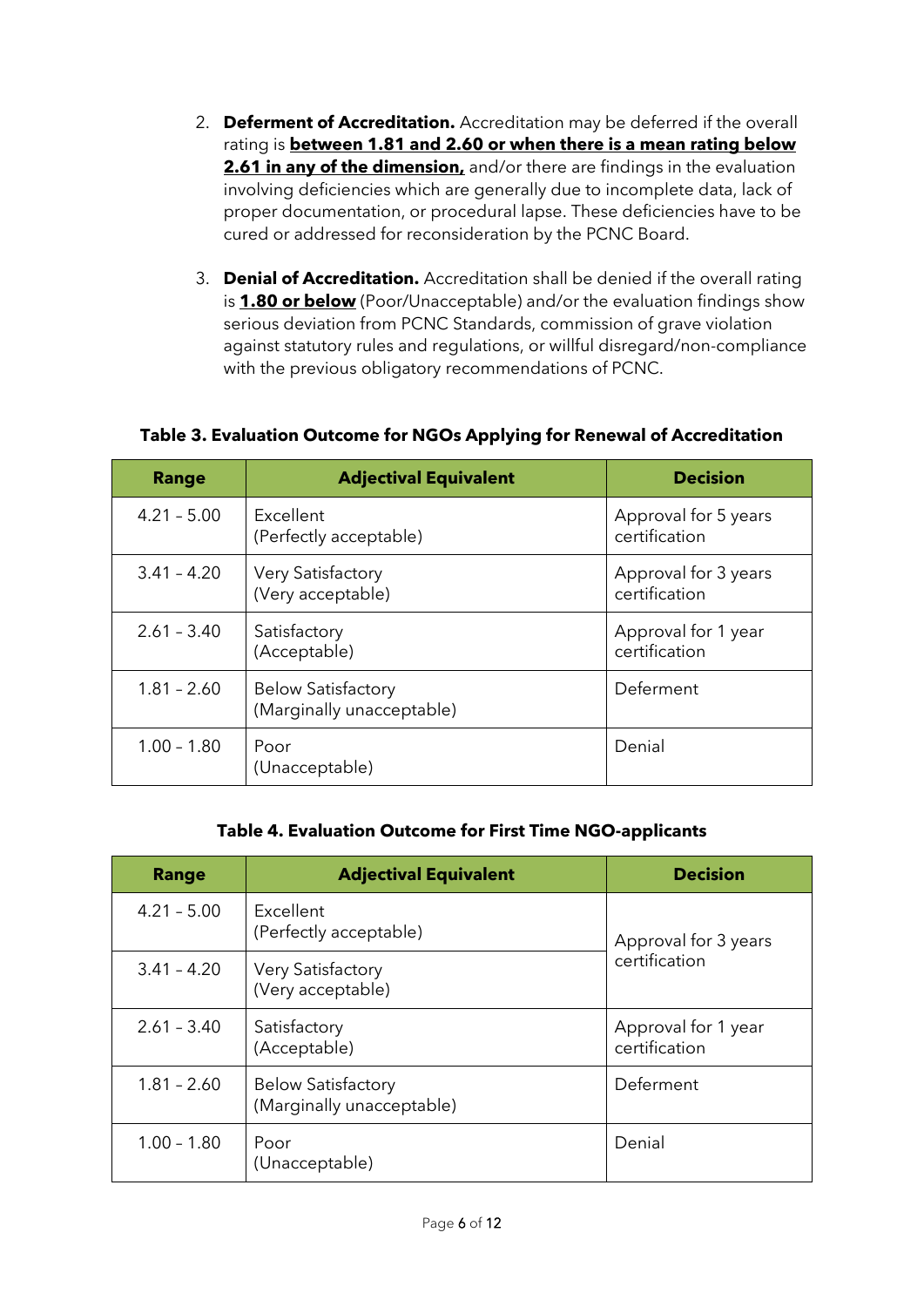- 2. **Deferment of Accreditation.** Accreditation may be deferred if the overall rating is **between 1.81 and 2.60 or when there is a mean rating below 2.61 in any of the dimension,** and/or there are findings in the evaluation involving deficiencies which are generally due to incomplete data, lack of proper documentation, or procedural lapse. These deficiencies have to be cured or addressed for reconsideration by the PCNC Board.
- 3. **Denial of Accreditation.** Accreditation shall be denied if the overall rating is **1.80 or below** (Poor/Unacceptable) and/or the evaluation findings show serious deviation from PCNC Standards, commission of grave violation against statutory rules and regulations, or willful disregard/non-compliance with the previous obligatory recommendations of PCNC.

## **Table 3. Evaluation Outcome for NGOs Applying for Renewal of Accreditation**

| Range         | <b>Adjectival Equivalent</b>                           | <b>Decision</b>                       |
|---------------|--------------------------------------------------------|---------------------------------------|
| $4.21 - 5.00$ | Excellent<br>(Perfectly acceptable)                    | Approval for 5 years<br>certification |
| $3.41 - 4.20$ | <b>Very Satisfactory</b><br>(Very acceptable)          | Approval for 3 years<br>certification |
| $2.61 - 3.40$ | Satisfactory<br>(Acceptable)                           | Approval for 1 year<br>certification  |
| $1.81 - 2.60$ | <b>Below Satisfactory</b><br>(Marginally unacceptable) | Deferment                             |
| $1.00 - 1.80$ | Poor<br>(Unacceptable)                                 | Denial                                |

## **Table 4. Evaluation Outcome for First Time NGO-applicants**

| <b>Range</b>  | <b>Adjectival Equivalent</b>                           | <b>Decision</b>                       |  |
|---------------|--------------------------------------------------------|---------------------------------------|--|
| $4.21 - 5.00$ | Excellent<br>(Perfectly acceptable)                    | Approval for 3 years<br>certification |  |
| $3.41 - 4.20$ | <b>Very Satisfactory</b><br>(Very acceptable)          |                                       |  |
| $2.61 - 3.40$ | Satisfactory<br>(Acceptable)                           | Approval for 1 year<br>certification  |  |
| $1.81 - 2.60$ | <b>Below Satisfactory</b><br>(Marginally unacceptable) | Deferment                             |  |
| $1.00 - 1.80$ | Poor<br>(Unacceptable)                                 | Denial                                |  |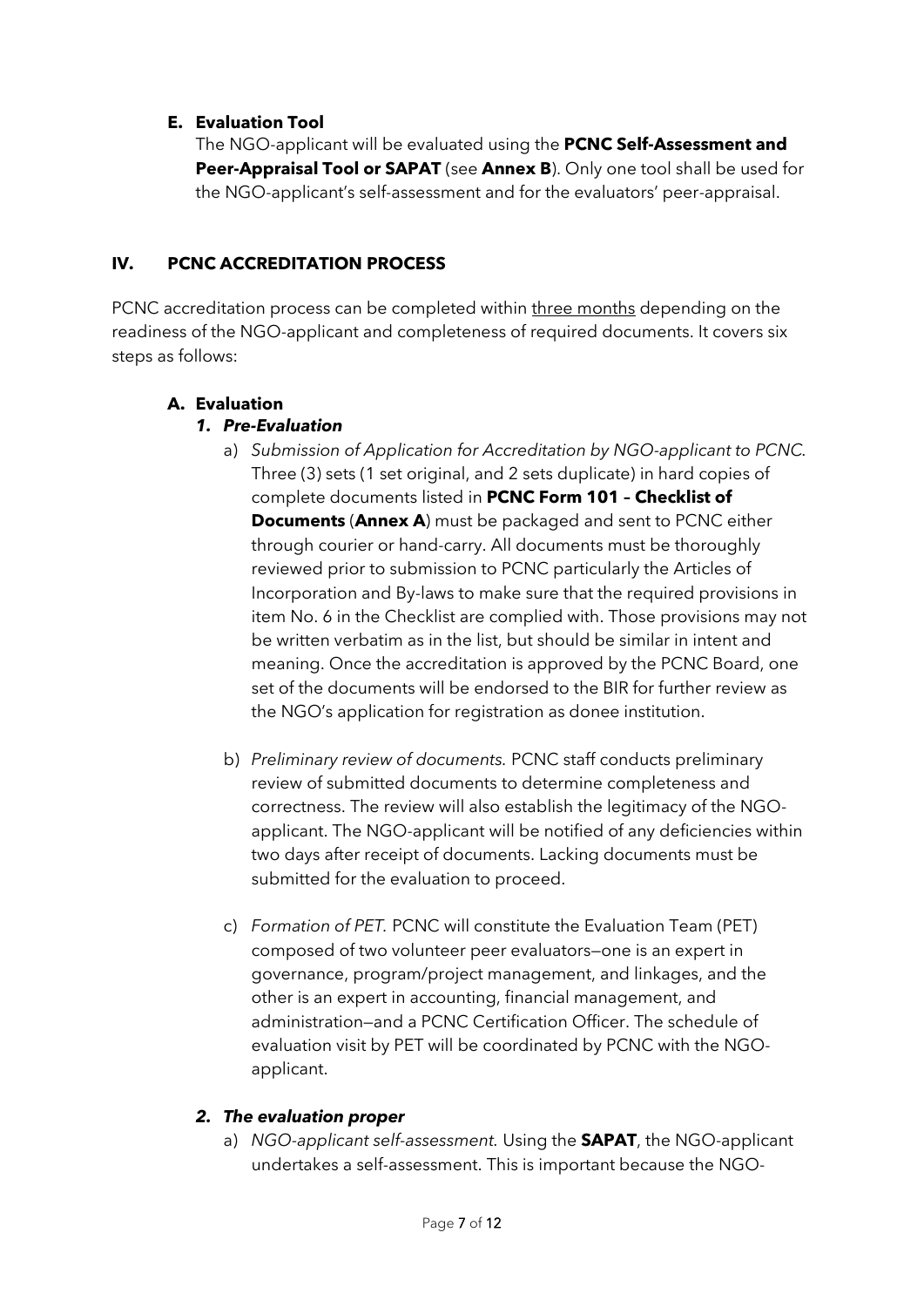### **E. Evaluation Tool**

The NGO-applicant will be evaluated using the **PCNC Self-Assessment and Peer-Appraisal Tool or SAPAT** (see **Annex B**). Only one tool shall be used for the NGO-applicant's self-assessment and for the evaluators' peer-appraisal.

## **IV. PCNC ACCREDITATION PROCESS**

PCNC accreditation process can be completed within three months depending on the readiness of the NGO-applicant and completeness of required documents. It covers six steps as follows:

# **A. Evaluation**

## *1. Pre-Evaluation*

- a) *Submission of Application for Accreditation by NGO-applicant to PCNC.* Three (3) sets (1 set original, and 2 sets duplicate) in hard copies of complete documents listed in **PCNC Form 101 – Checklist of Documents** (**Annex A**) must be packaged and sent to PCNC either through courier or hand-carry. All documents must be thoroughly reviewed prior to submission to PCNC particularly the Articles of Incorporation and By-laws to make sure that the required provisions in item No. 6 in the Checklist are complied with. Those provisions may not be written verbatim as in the list, but should be similar in intent and meaning. Once the accreditation is approved by the PCNC Board, one set of the documents will be endorsed to the BIR for further review as the NGO's application for registration as donee institution.
- b) *Preliminary review of documents.* PCNC staff conducts preliminary review of submitted documents to determine completeness and correctness. The review will also establish the legitimacy of the NGOapplicant. The NGO-applicant will be notified of any deficiencies within two days after receipt of documents. Lacking documents must be submitted for the evaluation to proceed.
- c) *Formation of PET.* PCNC will constitute the Evaluation Team (PET) composed of two volunteer peer evaluators—one is an expert in governance, program/project management, and linkages, and the other is an expert in accounting, financial management, and administration—and a PCNC Certification Officer. The schedule of evaluation visit by PET will be coordinated by PCNC with the NGOapplicant.

## *2. The evaluation proper*

a) *NGO-applicant self-assessment.* Using the **SAPAT**, the NGO-applicant undertakes a self-assessment. This is important because the NGO-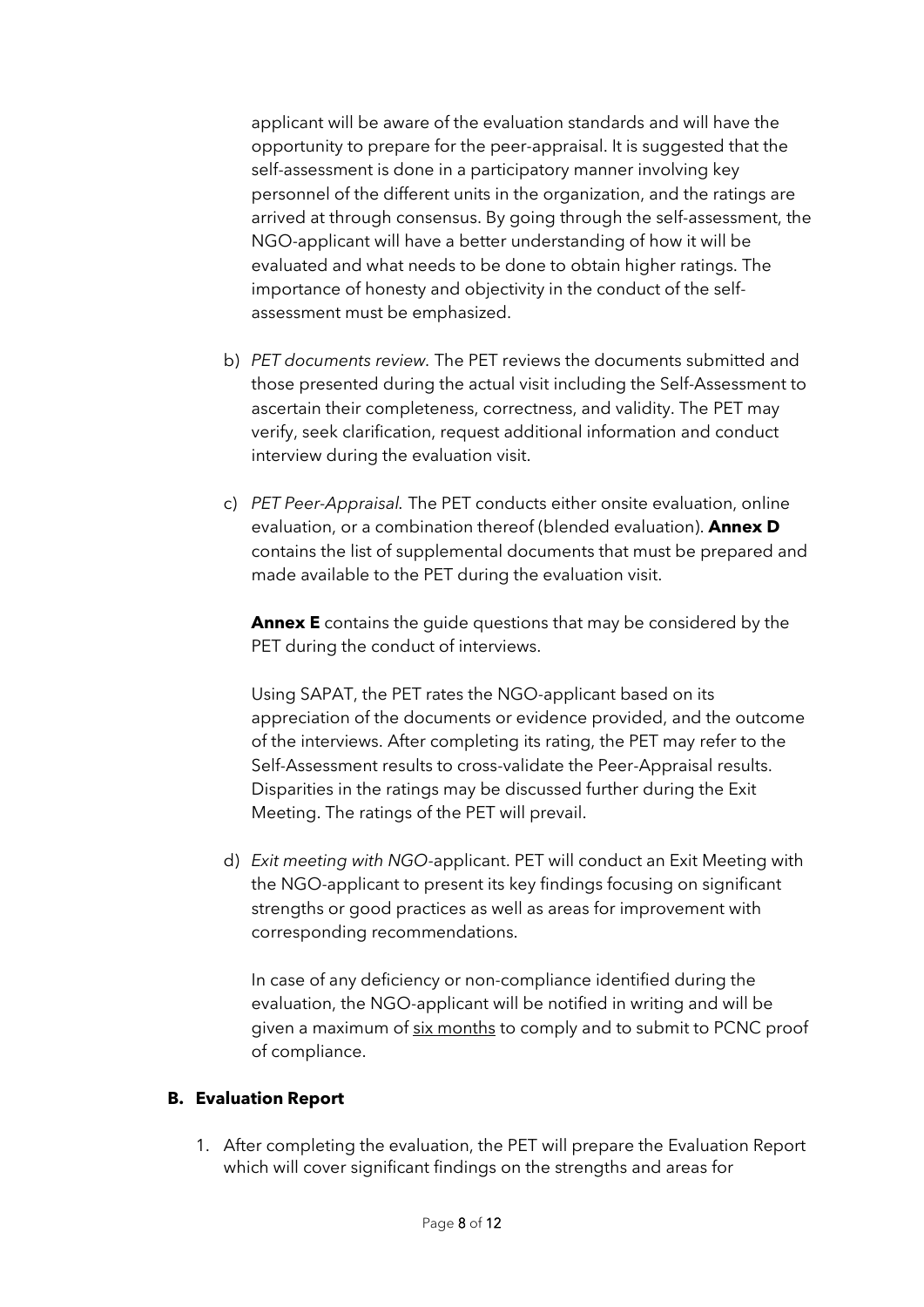applicant will be aware of the evaluation standards and will have the opportunity to prepare for the peer-appraisal. It is suggested that the self-assessment is done in a participatory manner involving key personnel of the different units in the organization, and the ratings are arrived at through consensus. By going through the self-assessment, the NGO-applicant will have a better understanding of how it will be evaluated and what needs to be done to obtain higher ratings. The importance of honesty and objectivity in the conduct of the selfassessment must be emphasized.

- b) *PET documents review.* The PET reviews the documents submitted and those presented during the actual visit including the Self-Assessment to ascertain their completeness, correctness, and validity. The PET may verify, seek clarification, request additional information and conduct interview during the evaluation visit.
- c) *PET Peer-Appraisal.* The PET conducts either onsite evaluation, online evaluation, or a combination thereof (blended evaluation). **Annex D** contains the list of supplemental documents that must be prepared and made available to the PET during the evaluation visit.

**Annex E** contains the guide questions that may be considered by the PET during the conduct of interviews.

Using SAPAT, the PET rates the NGO-applicant based on its appreciation of the documents or evidence provided, and the outcome of the interviews. After completing its rating, the PET may refer to the Self-Assessment results to cross-validate the Peer-Appraisal results. Disparities in the ratings may be discussed further during the Exit Meeting. The ratings of the PET will prevail.

d) *Exit meeting with NGO-*applicant. PET will conduct an Exit Meeting with the NGO-applicant to present its key findings focusing on significant strengths or good practices as well as areas for improvement with corresponding recommendations.

In case of any deficiency or non-compliance identified during the evaluation, the NGO-applicant will be notified in writing and will be given a maximum of six months to comply and to submit to PCNC proof of compliance.

#### **B. Evaluation Report**

1. After completing the evaluation, the PET will prepare the Evaluation Report which will cover significant findings on the strengths and areas for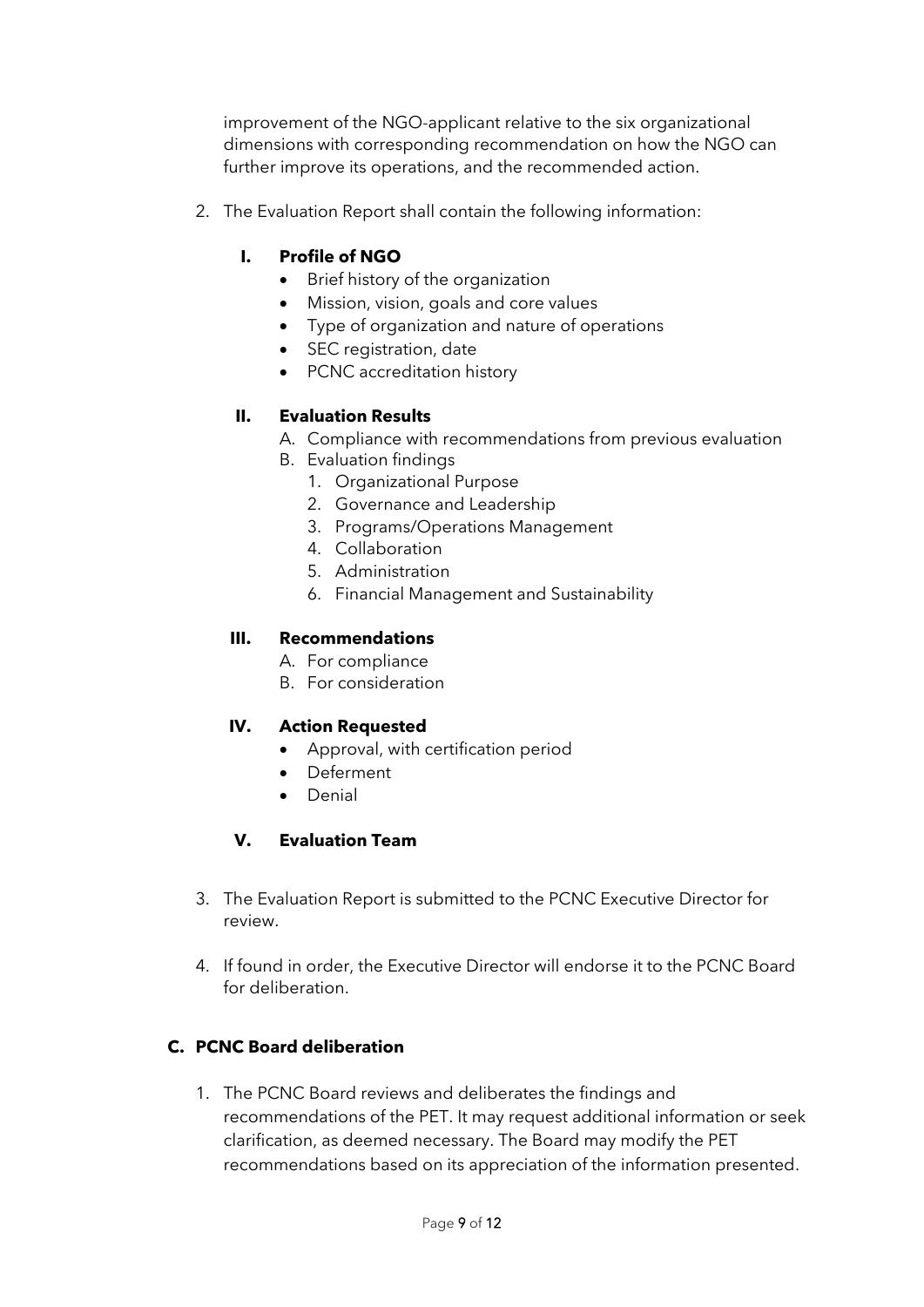improvement of the NGO-applicant relative to the six organizational dimensions with corresponding recommendation on how the NGO can further improve its operations, and the recommended action.

2. The Evaluation Report shall contain the following information:

### **I. Profile of NGO**

- Brief history of the organization
- Mission, vision, goals and core values
- Type of organization and nature of operations
- SEC registration, date
- PCNC accreditation history

#### **II. Evaluation Results**

- A. Compliance with recommendations from previous evaluation
- B. Evaluation findings
	- 1. Organizational Purpose
	- 2. Governance and Leadership
	- 3. Programs/Operations Management
	- 4. Collaboration
	- 5. Administration
	- 6. Financial Management and Sustainability

#### **III. Recommendations**

- A. For compliance
- B. For consideration

#### **IV. Action Requested**

- Approval, with certification period
- Deferment
- Denial

#### **V. Evaluation Team**

- 3. The Evaluation Report is submitted to the PCNC Executive Director for review.
- 4. If found in order, the Executive Director will endorse it to the PCNC Board for deliberation.

#### **C. PCNC Board deliberation**

1. The PCNC Board reviews and deliberates the findings and recommendations of the PET. It may request additional information or seek clarification, as deemed necessary. The Board may modify the PET recommendations based on its appreciation of the information presented.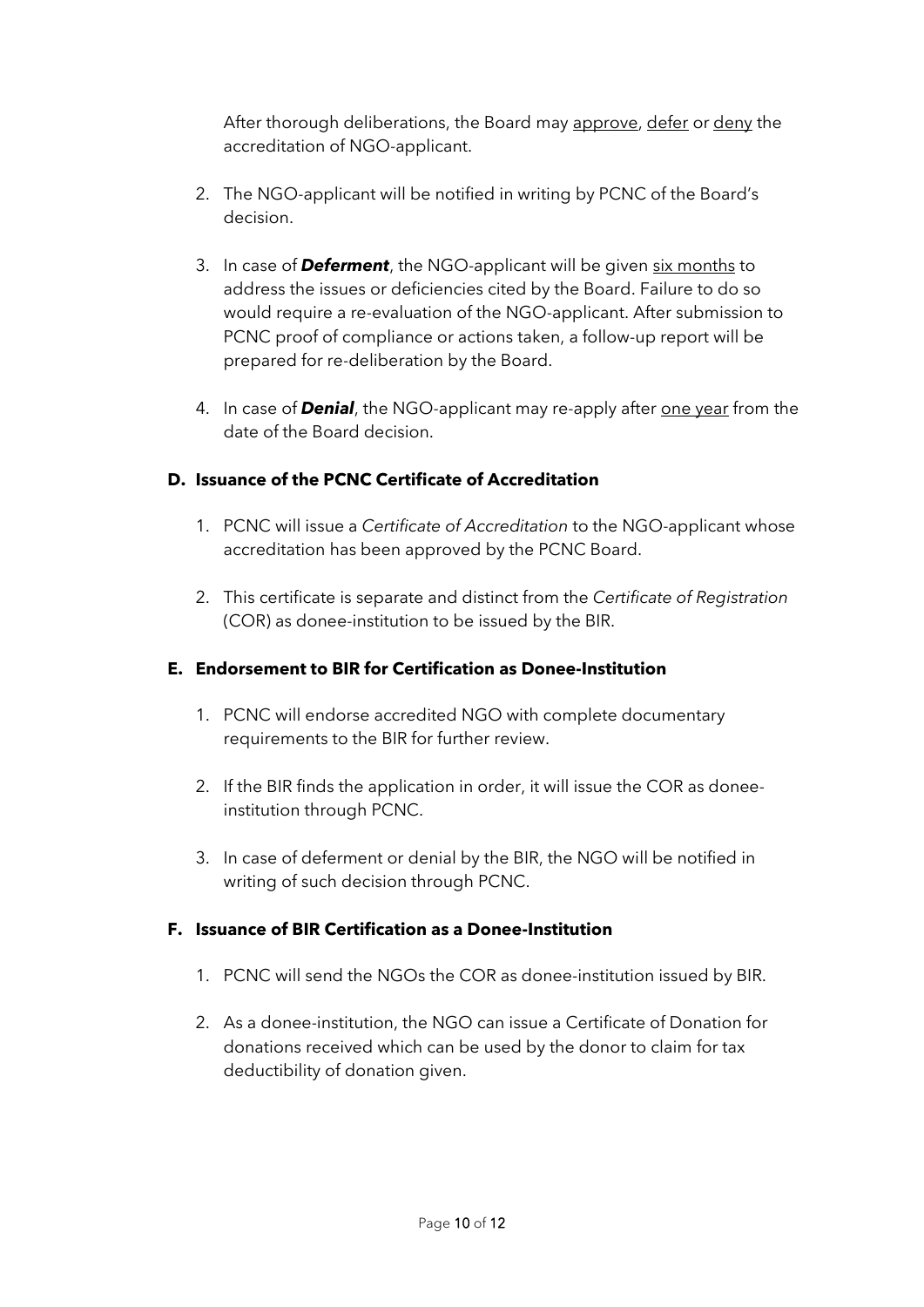After thorough deliberations, the Board may approve, defer or deny the accreditation of NGO-applicant.

- 2. The NGO-applicant will be notified in writing by PCNC of the Board's decision.
- 3. In case of *Deferment*, the NGO-applicant will be given six months to address the issues or deficiencies cited by the Board. Failure to do so would require a re-evaluation of the NGO-applicant. After submission to PCNC proof of compliance or actions taken, a follow-up report will be prepared for re-deliberation by the Board.
- 4. In case of **Denial**, the NGO-applicant may re-apply after one year from the date of the Board decision.

## **D. Issuance of the PCNC Certificate of Accreditation**

- 1. PCNC will issue a *Certificate of Accreditation* to the NGO-applicant whose accreditation has been approved by the PCNC Board.
- 2. This certificate is separate and distinct from the *Certificate of Registration* (COR) as donee-institution to be issued by the BIR.

## **E. Endorsement to BIR for Certification as Donee-Institution**

- 1. PCNC will endorse accredited NGO with complete documentary requirements to the BIR for further review.
- 2. If the BIR finds the application in order, it will issue the COR as doneeinstitution through PCNC.
- 3. In case of deferment or denial by the BIR, the NGO will be notified in writing of such decision through PCNC.

## **F. Issuance of BIR Certification as a Donee-Institution**

- 1. PCNC will send the NGOs the COR as donee-institution issued by BIR.
- 2. As a donee-institution, the NGO can issue a Certificate of Donation for donations received which can be used by the donor to claim for tax deductibility of donation given.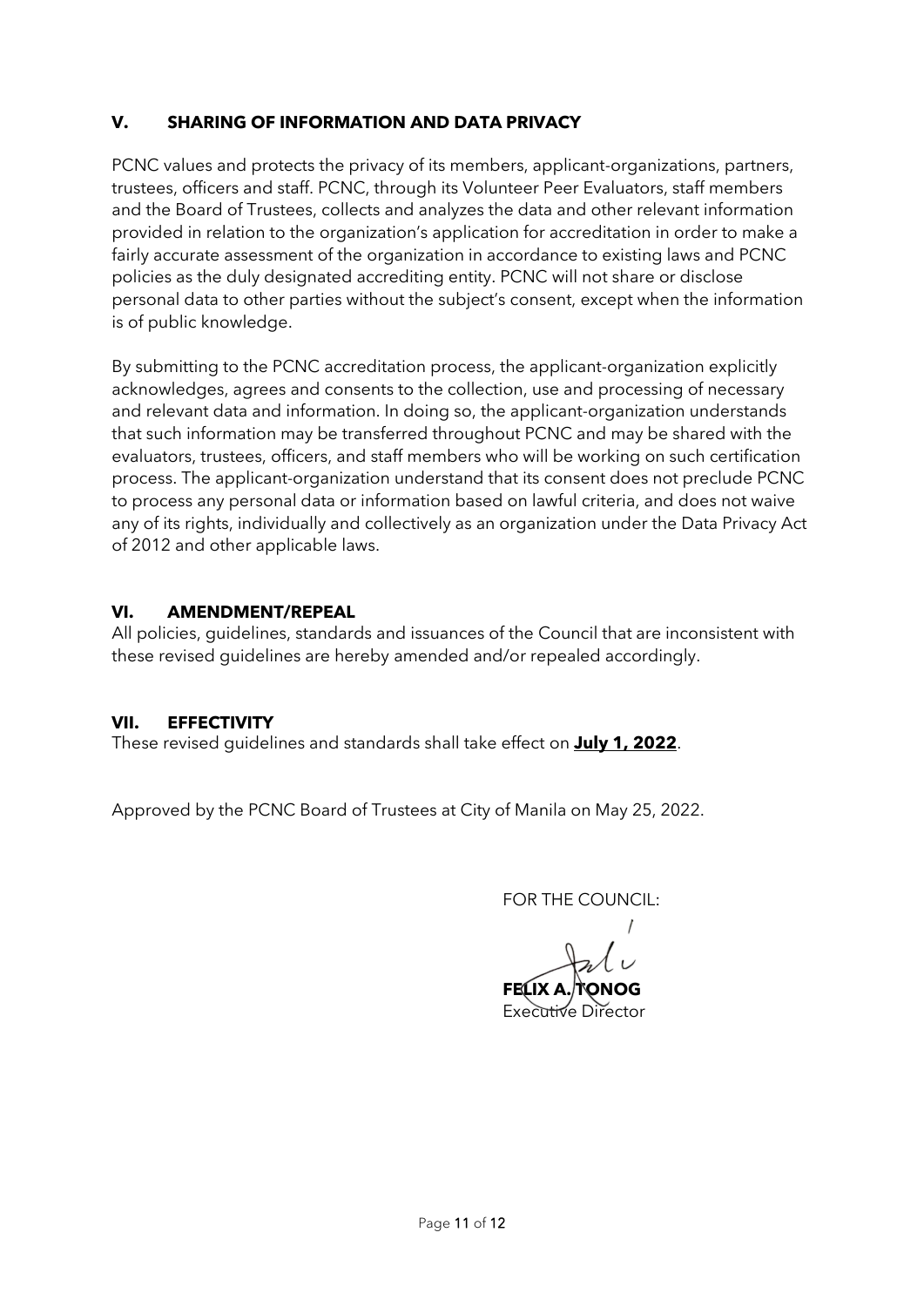### **V. SHARING OF INFORMATION AND DATA PRIVACY**

PCNC values and protects the privacy of its members, applicant-organizations, partners, trustees, officers and staff. PCNC, through its Volunteer Peer Evaluators, staff members and the Board of Trustees, collects and analyzes the data and other relevant information provided in relation to the organization's application for accreditation in order to make a fairly accurate assessment of the organization in accordance to existing laws and PCNC policies as the duly designated accrediting entity. PCNC will not share or disclose personal data to other parties without the subject's consent, except when the information is of public knowledge.

By submitting to the PCNC accreditation process, the applicant-organization explicitly acknowledges, agrees and consents to the collection, use and processing of necessary and relevant data and information. In doing so, the applicant-organization understands that such information may be transferred throughout PCNC and may be shared with the evaluators, trustees, officers, and staff members who will be working on such certification process. The applicant-organization understand that its consent does not preclude PCNC to process any personal data or information based on lawful criteria, and does not waive any of its rights, individually and collectively as an organization under the Data Privacy Act of 2012 and other applicable laws.

#### **VI. AMENDMENT/REPEAL**

All policies, guidelines, standards and issuances of the Council that are inconsistent with these revised guidelines are hereby amended and/or repealed accordingly.

#### **VII. EFFECTIVITY**

These revised guidelines and standards shall take effect on **July 1, 2022**.

Approved by the PCNC Board of Trustees at City of Manila on May 25, 2022.

FOR THE COUNCIL:

**FELIX A** Executive Director